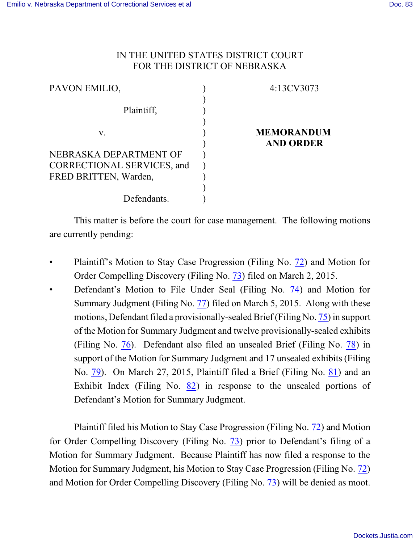## IN THE UNITED STATES DISTRICT COURT FOR THE DISTRICT OF NEBRASKA

| PAVON EMILIO,                                              | 4:13CV3073        |
|------------------------------------------------------------|-------------------|
| Plaintiff,                                                 |                   |
| V.                                                         | <b>MEMORANDUM</b> |
| NEBRASKA DEPARTMENT OF                                     | <b>AND ORDER</b>  |
| <b>CORRECTIONAL SERVICES, and</b><br>FRED BRITTEN, Warden, |                   |
| Defendants.                                                |                   |

This matter is before the court for case management. The following motions are currently pending:

- Plaintiff's Motion to Stay Case Progression (Filing No. [72](http://ecf.ned.uscourts.gov/doc1/11313222594)) and Motion for Order Compelling Discovery (Filing No. [73](http://ecf.ned.uscourts.gov/doc1/11313222611)) filed on March 2, 2015.
- Defendant's Motion to File Under Seal (Filing No. [74](http://ecf.ned.uscourts.gov/doc1/11313224960)) and Motion for Summary Judgment (Filing No. [77](http://ecf.ned.uscourts.gov/doc1/11313224993)) filed on March 5, 2015. Along with these motions, Defendant filed a provisionally-sealed Brief (Filing No. [75](http://ecf.ned.uscourts.gov/doc1/11313224966)) in support of the Motion for Summary Judgment and twelve provisionally-sealed exhibits (Filing No. [76](http://ecf.ned.uscourts.gov/doc1/11313224972)). Defendant also filed an unsealed Brief (Filing No. [78](http://ecf.ned.uscourts.gov/doc1/11313225014)) in support of the Motion for Summary Judgment and 17 unsealed exhibits (Filing No. [79](http://ecf.ned.uscourts.gov/doc1/11313225022)). On March 27, 2015, Plaintiff filed a Brief (Filing No. [81](https://ecf.ned.uscourts.gov/doc1/11313241261)) and an Exhibit Index (Filing No. [82](https://ecf.ned.uscourts.gov/doc1/11303241264)) in response to the unsealed portions of Defendant's Motion for Summary Judgment.

Plaintiff filed his Motion to Stay Case Progression (Filing No. [72](http://ecf.ned.uscourts.gov/doc1/11313222594)) and Motion for Order Compelling Discovery (Filing No. [73](http://ecf.ned.uscourts.gov/doc1/11313222611)) prior to Defendant's filing of a Motion for Summary Judgment. Because Plaintiff has now filed a response to the Motion for Summary Judgment, his Motion to Stay Case Progression (Filing No. [72](http://ecf.ned.uscourts.gov/doc1/11313222594)) and Motion for Order Compelling Discovery (Filing No. [73](http://ecf.ned.uscourts.gov/doc1/11313222611)) will be denied as moot.